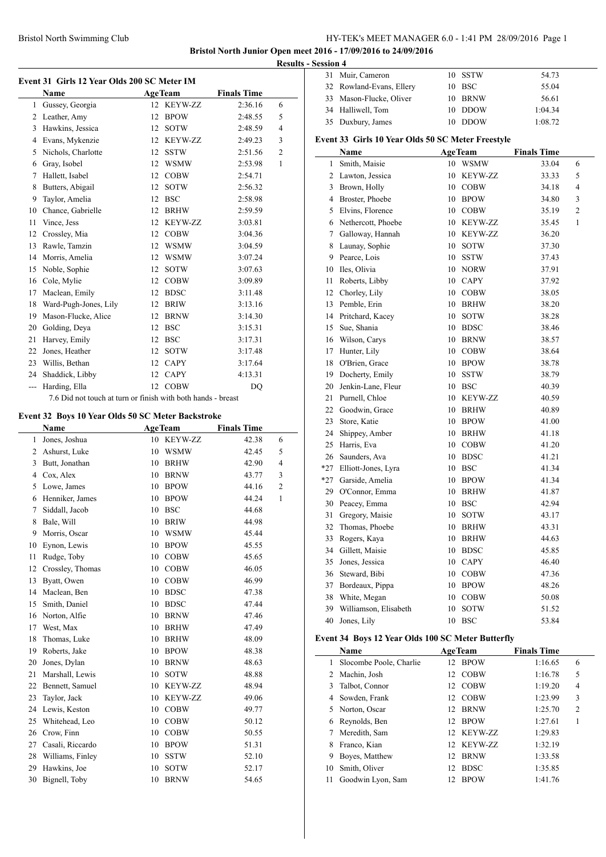#### Bristol North Swimming Club HY-TEK's MEET MANAGER 6.0 - 1:41 PM 28/09/2016 Page 1

**Bristol North Junior Open meet 2016 - 17/09/2016 to 24/09/2016 Results - Se** 

| Event 31 Girls 12 Year Olds 200 SC Meter IM |                       |    |                |                    |                |  |  |
|---------------------------------------------|-----------------------|----|----------------|--------------------|----------------|--|--|
|                                             | <b>Name</b>           |    | <b>AgeTeam</b> | <b>Finals Time</b> |                |  |  |
| 1                                           | Gussey, Georgia       | 12 | <b>KEYW-ZZ</b> | 2:36.16            | 6              |  |  |
| 2                                           | Leather, Amy          | 12 | <b>BPOW</b>    | 2:48.55            | 5              |  |  |
| 3                                           | Hawkins, Jessica      | 12 | <b>SOTW</b>    | 2:48.59            | $\overline{4}$ |  |  |
| 4                                           | Evans, Mykenzie       | 12 | <b>KEYW-ZZ</b> | 2:49.23            | 3              |  |  |
| 5                                           | Nichols, Charlotte    | 12 | <b>SSTW</b>    | 2:51.56            | $\overline{2}$ |  |  |
| 6                                           | Gray, Isobel          | 12 | <b>WSMW</b>    | 2:53.98            | $\mathbf{1}$   |  |  |
| 7                                           | Hallett, Isabel       | 12 | <b>COBW</b>    | 2:54.71            |                |  |  |
| 8                                           | Butters, Abigail      | 12 | <b>SOTW</b>    | 2:56.32            |                |  |  |
| 9                                           | Taylor, Amelia        | 12 | <b>BSC</b>     | 2:58.98            |                |  |  |
| 10                                          | Chance, Gabrielle     | 12 | <b>BRHW</b>    | 2:59.59            |                |  |  |
| 11                                          | Vince, Jess           | 12 | KEYW-ZZ        | 3:03.81            |                |  |  |
| 12                                          | Crossley, Mia         | 12 | <b>COBW</b>    | 3:04.36            |                |  |  |
| 13                                          | Rawle, Tamzin         | 12 | <b>WSMW</b>    | 3:04.59            |                |  |  |
| 14                                          | Morris, Amelia        | 12 | <b>WSMW</b>    | 3:07.24            |                |  |  |
| 15                                          | Noble, Sophie         | 12 | <b>SOTW</b>    | 3:07.63            |                |  |  |
| 16                                          | Cole, Mylie           | 12 | <b>COBW</b>    | 3:09.89            |                |  |  |
| 17                                          | Maclean, Emily        | 12 | <b>BDSC</b>    | 3:11.48            |                |  |  |
| 18                                          | Ward-Pugh-Jones, Lily | 12 | <b>BRIW</b>    | 3:13.16            |                |  |  |
| 19                                          | Mason-Flucke, Alice   | 12 | <b>BRNW</b>    | 3:14.30            |                |  |  |
| 20                                          | Golding, Deya         | 12 | <b>BSC</b>     | 3:15.31            |                |  |  |
| 21                                          | Harvey, Emily         | 12 | <b>BSC</b>     | 3:17.31            |                |  |  |
| 22                                          | Jones, Heather        | 12 | <b>SOTW</b>    | 3:17.48            |                |  |  |
| 23                                          | Willis, Bethan        | 12 | <b>CAPY</b>    | 3:17.64            |                |  |  |
| 24                                          | Shaddick, Libby       | 12 | <b>CAPY</b>    | 4:13.31            |                |  |  |
| $\overline{a}$                              | Harding, Ella         | 12 | <b>COBW</b>    | D <sub>O</sub>     |                |  |  |

7.6 Did not touch at turn or finish with both hands - breast

## **Event 32 Boys 10 Year Olds 50 SC Meter Backstroke**

|                | Name             |    | <b>AgeTeam</b> | <b>Finals Time</b> |                |
|----------------|------------------|----|----------------|--------------------|----------------|
| 1              | Jones, Joshua    |    | 10 KEYW-ZZ     | 42.38              | 6              |
| 2              | Ashurst, Luke    | 10 | <b>WSMW</b>    | 42.45              | 5              |
| 3              | Butt, Jonathan   | 10 | <b>BRHW</b>    | 42.90              | 4              |
| $\overline{4}$ | Cox, Alex        | 10 | <b>BRNW</b>    | 43.77              | 3              |
| 5              | Lowe, James      | 10 | <b>BPOW</b>    | 44.16              | $\overline{c}$ |
| 6              | Henniker, James  | 10 | <b>BPOW</b>    | 44.24              | 1              |
| 7              | Siddall, Jacob   | 10 | <b>BSC</b>     | 44.68              |                |
| 8              | Bale, Will       | 10 | <b>BRIW</b>    | 44.98              |                |
| 9              | Morris, Oscar    | 10 | <b>WSMW</b>    | 45.44              |                |
| 10             | Eynon, Lewis     | 10 | <b>BPOW</b>    | 45.55              |                |
| 11             | Rudge, Toby      | 10 | <b>COBW</b>    | 45.65              |                |
| 12             | Crossley, Thomas | 10 | <b>COBW</b>    | 46.05              |                |
| 13             | Byatt, Owen      | 10 | <b>COBW</b>    | 46.99              |                |
| 14             | Maclean, Ben     | 10 | <b>BDSC</b>    | 47.38              |                |
| 15             | Smith, Daniel    | 10 | <b>BDSC</b>    | 47.44              |                |
| 16             | Norton, Alfie    | 10 | <b>BRNW</b>    | 47.46              |                |
| 17             | West, Max        | 10 | <b>BRHW</b>    | 47.49              |                |
| 18             | Thomas, Luke     | 10 | <b>BRHW</b>    | 48.09              |                |
| 19             | Roberts, Jake    | 10 | <b>BPOW</b>    | 48.38              |                |
| 20             | Jones, Dylan     | 10 | <b>BRNW</b>    | 48.63              |                |
| 21             | Marshall, Lewis  | 10 | <b>SOTW</b>    | 48.88              |                |
| 22             | Bennett, Samuel  | 10 | KEYW-ZZ        | 48.94              |                |
| 23             | Taylor, Jack     | 10 | <b>KEYW-ZZ</b> | 49.06              |                |
| 24             | Lewis, Keston    | 10 | <b>COBW</b>    | 49.77              |                |
| 25             | Whitehead, Leo   | 10 | <b>COBW</b>    | 50.12              |                |
| 26             | Crow, Finn       | 10 | <b>COBW</b>    | 50.55              |                |
| 27             | Casali, Riccardo | 10 | <b>BPOW</b>    | 51.31              |                |
| 28             | Williams, Finley | 10 | <b>SSTW</b>    | 52.10              |                |
| 29             | Hawkins, Joe     | 10 | <b>SOTW</b>    | 52.17              |                |
| 30             | Bignell, Toby    | 10 | <b>BRNW</b>    | 54.65              |                |

| Session 4                                         |                          |  |         |         |  |  |
|---------------------------------------------------|--------------------------|--|---------|---------|--|--|
|                                                   | 31 Muir, Cameron         |  | 10 SSTW | 54.73   |  |  |
|                                                   | 32 Rowland-Evans, Ellery |  | 10 BSC  | 55.04   |  |  |
|                                                   | 33 Mason-Flucke, Oliver  |  | 10 BRNW | 56.61   |  |  |
|                                                   | 34 Halliwell, Tom        |  | 10 DDOW | 1:04.34 |  |  |
|                                                   | 35 Duxbury, James        |  | 10 DDOW | 1:08.72 |  |  |
| Event 33 Girls 10 Year Olds 50 SC Meter Freestyle |                          |  |         |         |  |  |

|       | <b>Name</b>           |    | <b>AgeTeam</b> | <b>Finals Time</b> |                |
|-------|-----------------------|----|----------------|--------------------|----------------|
| 1     | Smith, Maisie         |    | 10 WSMW        | 33.04              | 6              |
| 2     | Lawton, Jessica       | 10 | <b>KEYW-ZZ</b> | 33.33              | 5              |
| 3     | Brown, Holly          |    | 10 COBW        | 34.18              | 4              |
|       | 4 Broster, Phoebe     |    | 10 BPOW        | 34.80              | 3              |
| 5     | Elvins, Florence      |    | 10 COBW        | 35.19              | $\overline{c}$ |
| 6     | Nethercott, Phoebe    |    | 10 KEYW-ZZ     | 35.45              | 1              |
| 7     | Galloway, Hannah      |    | 10 KEYW-ZZ     | 36.20              |                |
| 8     | Launay, Sophie        | 10 | <b>SOTW</b>    | 37.30              |                |
| 9     | Pearce, Lois          | 10 | <b>SSTW</b>    | 37.43              |                |
| 10    | Iles, Olivia          |    | 10 NORW        | 37.91              |                |
| 11    | Roberts, Libby        |    | 10 CAPY        | 37.92              |                |
| 12    | Chorley, Lily         | 10 | <b>COBW</b>    | 38.05              |                |
| 13    | Pemble, Erin          |    | 10 BRHW        | 38.20              |                |
| 14    | Pritchard, Kacey      | 10 | <b>SOTW</b>    | 38.28              |                |
| 15    | Sue, Shania           | 10 | <b>BDSC</b>    | 38.46              |                |
| 16    | Wilson, Carys         |    | 10 BRNW        | 38.57              |                |
| 17    | Hunter, Lily          |    | 10 COBW        | 38.64              |                |
| 18    | O'Brien, Grace        | 10 | <b>BPOW</b>    | 38.78              |                |
| 19    | Docherty, Emily       | 10 | <b>SSTW</b>    | 38.79              |                |
| 20    | Jenkin-Lane, Fleur    | 10 | <b>BSC</b>     | 40.39              |                |
| 21    | Purnell, Chloe        | 10 | <b>KEYW-ZZ</b> | 40.59              |                |
| 22    | Goodwin, Grace        |    | 10 BRHW        | 40.89              |                |
| 23    | Store, Katie          |    | 10 BPOW        | 41.00              |                |
| 24    | Shippey, Amber        |    | 10 BRHW        | 41.18              |                |
| 25    | Harris, Eva           |    | 10 COBW        | 41.20              |                |
| 26    | Saunders, Ava         |    | 10 BDSC        | 41.21              |                |
| $*27$ | Elliott-Jones, Lyra   | 10 | <b>BSC</b>     | 41.34              |                |
| $*27$ | Garside, Amelia       |    | 10 BPOW        | 41.34              |                |
| 29    | O'Connor, Emma        |    | 10 BRHW        | 41.87              |                |
| 30    | Peacey, Emma          | 10 | <b>BSC</b>     | 42.94              |                |
| 31    | Gregory, Maisie       | 10 | <b>SOTW</b>    | 43.17              |                |
| 32    | Thomas, Phoebe        | 10 | <b>BRHW</b>    | 43.31              |                |
| 33    | Rogers, Kaya          | 10 | <b>BRHW</b>    | 44.63              |                |
| 34    | Gillett, Maisie       | 10 | <b>BDSC</b>    | 45.85              |                |
| 35    | Jones, Jessica        |    | 10 CAPY        | 46.40              |                |
| 36    | Steward, Bibi         |    | 10 COBW        | 47.36              |                |
| 37    | Bordeaux, Pippa       | 10 | <b>BPOW</b>    | 48.26              |                |
| 38    | White, Megan          | 10 | <b>COBW</b>    | 50.08              |                |
| 39    | Williamson, Elisabeth | 10 | <b>SOTW</b>    | 51.52              |                |
| 40    | Jones, Lily           | 10 | <b>BSC</b>     | 53.84              |                |

## **Event 34 Boys 12 Year Olds 100 SC Meter Butterfly**

|    | Name                    | <b>AgeTeam</b>     | <b>Finals Time</b> |   |
|----|-------------------------|--------------------|--------------------|---|
|    | Slocombe Poole, Charlie | 12 BPOW            | 1:16.65            | 6 |
| 2  | Machin, Josh            | <b>COBW</b><br>12. | 1:16.78            | 5 |
| 3  | Talbot, Connor          | <b>COBW</b><br>12. | 1:19.20            | 4 |
| 4  | Sowden, Frank           | <b>COBW</b><br>12. | 1:23.99            | 3 |
|    | 5 Norton, Oscar         | <b>BRNW</b><br>12. | 1:25.70            | 2 |
| 6  | Reynolds, Ben           | <b>BPOW</b><br>12. | 1:27.61            |   |
|    | Meredith, Sam           | 12 KEYW-ZZ         | 1:29.83            |   |
| 8  | Franco, Kian            | KEYW-ZZ<br>12.     | 1:32.19            |   |
| 9  | Boyes, Matthew          | <b>BRNW</b><br>12. | 1:33.58            |   |
| 10 | Smith, Oliver           | <b>BDSC</b><br>12  | 1:35.85            |   |
| 11 | Goodwin Lyon, Sam       | <b>BPOW</b><br>12  | 1:41.76            |   |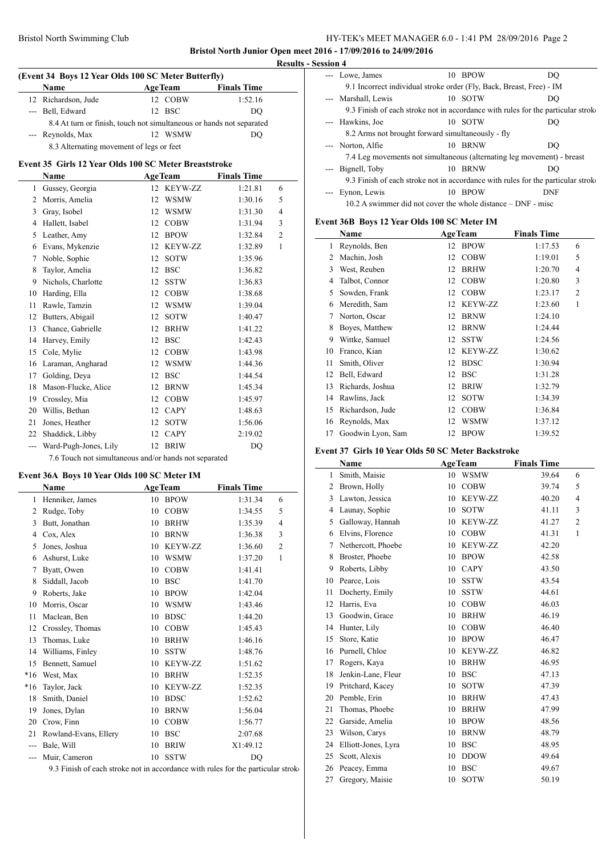$\frac{1}{2}$ 

#### Bristol North Swimming Club HY-TEK's MEET MANAGER 6.0 - 1:41 PM 28/09/2016 Page 2

**Bristol North Junior Open meet 2016 - 17/09/2016 to 24/09/2016 Results - Session 4**

L.

# **(Event 34 Boys 12 Year Olds 100 SC Meter Butterfly)**

|                                                                      | <b>Name</b>         |  | <b>AgeTeam</b> | <b>Finals Time</b> |  |  |  |  |
|----------------------------------------------------------------------|---------------------|--|----------------|--------------------|--|--|--|--|
|                                                                      | 12 Richardson, Jude |  | 12 COBW        | 1:52.16            |  |  |  |  |
|                                                                      | --- Bell, Edward    |  | 12 BSC         | DO                 |  |  |  |  |
| 8.4 At turn or finish, touch not simultaneous or hands not separated |                     |  |                |                    |  |  |  |  |
|                                                                      | --- Reynolds, Max   |  | 12 WSMW        | DO                 |  |  |  |  |
|                                                                      |                     |  |                |                    |  |  |  |  |

# 8.3 Alternating movement of legs or feet

# **Event 35 Girls 12 Year Olds 100 SC Meter Breaststroke**

|                | Name                  |    | <b>AgeTeam</b> | <b>Finals Time</b> |                |
|----------------|-----------------------|----|----------------|--------------------|----------------|
| 1              | Gussey, Georgia       | 12 | KEYW-ZZ        | 1:21.81            | 6              |
| 2              | Morris, Amelia        | 12 | <b>WSMW</b>    | 1:30.16            | 5              |
| 3              | Gray, Isobel          | 12 | <b>WSMW</b>    | 1:31.30            | $\overline{4}$ |
| 4              | Hallett, Isabel       | 12 | <b>COBW</b>    | 1:31.94            | 3              |
| 5              | Leather, Amy          | 12 | <b>BPOW</b>    | 1:32.84            | $\overline{2}$ |
| 6              | Evans, Mykenzie       | 12 | KEYW-ZZ        | 1:32.89            | 1              |
| 7              | Noble, Sophie         | 12 | <b>SOTW</b>    | 1:35.96            |                |
| 8              | Taylor, Amelia        | 12 | <b>BSC</b>     | 1:36.82            |                |
| 9              | Nichols, Charlotte    | 12 | <b>SSTW</b>    | 1:36.83            |                |
| 10             | Harding, Ella         | 12 | <b>COBW</b>    | 1:38.68            |                |
| 11             | Rawle, Tamzin         | 12 | <b>WSMW</b>    | 1:39.04            |                |
| 12             | Butters, Abigail      | 12 | <b>SOTW</b>    | 1:40.47            |                |
| 13             | Chance, Gabrielle     | 12 | <b>BRHW</b>    | 1:41.22            |                |
| 14             | Harvey, Emily         | 12 | <b>BSC</b>     | 1:42.43            |                |
| 15             | Cole, Mylie           | 12 | <b>COBW</b>    | 1:43.98            |                |
| 16             | Laraman, Angharad     | 12 | <b>WSMW</b>    | 1:44.36            |                |
| 17             | Golding, Deya         | 12 | <b>BSC</b>     | 1:44.54            |                |
| 18             | Mason-Flucke, Alice   | 12 | <b>BRNW</b>    | 1:45.34            |                |
| 19             | Crossley, Mia         | 12 | <b>COBW</b>    | 1:45.97            |                |
| 20             | Willis, Bethan        | 12 | <b>CAPY</b>    | 1:48.63            |                |
| 21             | Jones, Heather        | 12 | <b>SOTW</b>    | 1:56.06            |                |
| 22             | Shaddick, Libby       | 12 | <b>CAPY</b>    | 2:19.02            |                |
| $\overline{a}$ | Ward-Pugh-Jones, Lily | 12 | <b>BRIW</b>    | DQ                 |                |

7.6 Touch not simultaneous and/or hands not separated

# **Event 36A Boys 10 Year Olds 100 SC Meter IM**

|       | Name                  |    | <b>AgeTeam</b> | <b>Finals Time</b> |                |
|-------|-----------------------|----|----------------|--------------------|----------------|
| 1     | Henniker, James       | 10 | <b>BPOW</b>    | 1:31.34            | 6              |
| 2     | Rudge, Toby           | 10 | $\rm COBW$     | 1:34.55            | 5              |
| 3     | Butt, Jonathan        | 10 | <b>BRHW</b>    | 1:35.39            | $\overline{4}$ |
| 4     | Cox, Alex             | 10 | <b>BRNW</b>    | 1:36.38            | 3              |
| 5     | Jones, Joshua         | 10 | <b>KEYW-ZZ</b> | 1:36.60            | $\overline{2}$ |
| 6     | Ashurst, Luke         | 10 | <b>WSMW</b>    | 1:37.20            | $\mathbf{1}$   |
| 7     | Byatt, Owen           | 10 | <b>COBW</b>    | 1:41.41            |                |
| 8     | Siddall, Jacob        | 10 | <b>BSC</b>     | 1:41.70            |                |
| 9     | Roberts, Jake         | 10 | <b>BPOW</b>    | 1:42.04            |                |
| 10    | Morris, Oscar         | 10 | <b>WSMW</b>    | 1:43.46            |                |
| 11    | Maclean, Ben          | 10 | <b>BDSC</b>    | 1:44.20            |                |
| 12    | Crossley, Thomas      | 10 | <b>COBW</b>    | 1:45.43            |                |
| 13    | Thomas, Luke          | 10 | <b>BRHW</b>    | 1:46.16            |                |
| 14    | Williams, Finley      | 10 | <b>SSTW</b>    | 1:48.76            |                |
| 15    | Bennett, Samuel       | 10 | <b>KEYW-ZZ</b> | 1:51.62            |                |
| $*16$ | West, Max             | 10 | <b>BRHW</b>    | 1:52.35            |                |
| *16   | Taylor, Jack          | 10 | <b>KEYW-ZZ</b> | 1:52.35            |                |
| 18    | Smith, Daniel         | 10 | <b>BDSC</b>    | 1:52.62            |                |
| 19    | Jones, Dylan          | 10 | <b>BRNW</b>    | 1:56.04            |                |
| 20    | Crow, Finn            | 10 | <b>COBW</b>    | 1:56.77            |                |
| 21    | Rowland-Evans, Ellery | 10 | <b>BSC</b>     | 2:07.68            |                |
| ---   | Bale, Will            | 10 | <b>BRIW</b>    | X1:49.12           |                |
| ---   | Muir, Cameron         | 10 | <b>SSTW</b>    | DQ                 |                |

9.3 Finish of each stroke not in accordance with rules for the particular stroke

| ,,,,,,              |                                                                                  |  |         |            |  |  |  |  |  |  |
|---------------------|----------------------------------------------------------------------------------|--|---------|------------|--|--|--|--|--|--|
|                     | --- Lowe, James                                                                  |  | 10 BPOW | DO         |  |  |  |  |  |  |
|                     | 9.1 Incorrect individual stroke order (Fly, Back, Breast, Free) - IM             |  |         |            |  |  |  |  |  |  |
|                     | --- Marshall, Lewis                                                              |  | 10 SOTW | DO         |  |  |  |  |  |  |
|                     | 9.3 Finish of each stroke not in accordance with rules for the particular stroke |  |         |            |  |  |  |  |  |  |
|                     | --- Hawkins, Joe                                                                 |  | 10 SOTW | DO         |  |  |  |  |  |  |
|                     | 8.2 Arms not brought forward simultaneously - fly                                |  |         |            |  |  |  |  |  |  |
|                     | --- Norton, Alfie                                                                |  | 10 BRNW | DO         |  |  |  |  |  |  |
|                     | 7.4 Leg movements not simultaneous (alternating leg movement) - breast           |  |         |            |  |  |  |  |  |  |
|                     | --- Bignell, Toby                                                                |  | 10 BRNW | DO         |  |  |  |  |  |  |
|                     | 9.3 Finish of each stroke not in accordance with rules for the particular stroke |  |         |            |  |  |  |  |  |  |
| $\qquad \qquad - -$ | Eynon, Lewis                                                                     |  | 10 BPOW | <b>DNF</b> |  |  |  |  |  |  |
|                     | 10.2 A swimmer did not cover the whole distance – DNF - misc                     |  |         |            |  |  |  |  |  |  |

## **Event 36B Boys 12 Year Olds 100 SC Meter IM**

|    | Name              |    | <b>AgeTeam</b> | <b>Finals Time</b> |                |
|----|-------------------|----|----------------|--------------------|----------------|
| 1  | Reynolds, Ben     | 12 | <b>BPOW</b>    | 1:17.53            | 6              |
| 2  | Machin, Josh      | 12 | <b>COBW</b>    | 1:19.01            | 5              |
| 3  | West, Reuben      | 12 | <b>BRHW</b>    | 1:20.70            | 4              |
| 4  | Talbot, Connor    | 12 | <b>COBW</b>    | 1:20.80            | 3              |
| 5  | Sowden, Frank     | 12 | <b>COBW</b>    | 1:23.17            | $\overline{2}$ |
| 6  | Meredith, Sam     | 12 | <b>KEYW-ZZ</b> | 1:23.60            | 1              |
| 7  | Norton, Oscar     | 12 | <b>BRNW</b>    | 1:24.10            |                |
| 8  | Boyes, Matthew    | 12 | <b>BRNW</b>    | 1:24.44            |                |
| 9  | Wittke, Samuel    | 12 | <b>SSTW</b>    | 1:24.56            |                |
| 10 | Franco, Kian      | 12 | <b>KEYW-ZZ</b> | 1:30.62            |                |
| 11 | Smith, Oliver     | 12 | <b>BDSC</b>    | 1:30.94            |                |
| 12 | Bell, Edward      | 12 | <b>BSC</b>     | 1:31.28            |                |
| 13 | Richards, Joshua  | 12 | <b>BRIW</b>    | 1:32.79            |                |
| 14 | Rawlins, Jack     | 12 | <b>SOTW</b>    | 1:34.39            |                |
| 15 | Richardson, Jude  | 12 | <b>COBW</b>    | 1:36.84            |                |
| 16 | Reynolds, Max     | 12 | WSMW           | 1:37.12            |                |
| 17 | Goodwin Lyon, Sam | 12 | <b>BPOW</b>    | 1:39.52            |                |

#### **Event 37 Girls 10 Year Olds 50 SC Meter Backstroke**

|                | Name                |    | <b>AgeTeam</b> | <b>Finals Time</b> |                |
|----------------|---------------------|----|----------------|--------------------|----------------|
| 1              | Smith, Maisie       | 10 | <b>WSMW</b>    | 39.64              | 6              |
| $\overline{c}$ | Brown, Holly        | 10 | <b>COBW</b>    | 39.74              | 5              |
| 3              | Lawton, Jessica     | 10 | <b>KEYW-ZZ</b> | 40.20              | $\overline{4}$ |
| 4              | Launay, Sophie      | 10 | <b>SOTW</b>    | 41.11              | 3              |
| 5              | Galloway, Hannah    | 10 | KEYW-ZZ        | 41.27              | $\overline{2}$ |
| 6              | Elvins, Florence    | 10 | <b>COBW</b>    | 41.31              | $\mathbf{1}$   |
| 7              | Nethercott, Phoebe  | 10 | KEYW-ZZ        | 42.20              |                |
| 8              | Broster, Phoebe     | 10 | <b>BPOW</b>    | 42.58              |                |
| 9              | Roberts, Libby      | 10 | <b>CAPY</b>    | 43.50              |                |
| 10             | Pearce, Lois        | 10 | <b>SSTW</b>    | 43.54              |                |
| 11             | Docherty, Emily     | 10 | <b>SSTW</b>    | 44.61              |                |
| 12             | Harris, Eva         | 10 | <b>COBW</b>    | 46.03              |                |
| 13             | Goodwin, Grace      | 10 | <b>BRHW</b>    | 46.19              |                |
| 14             | Hunter, Lily        | 10 | <b>COBW</b>    | 46.40              |                |
| 15             | Store, Katie        | 10 | <b>BPOW</b>    | 46.47              |                |
| 16             | Purnell, Chloe      | 10 | KEYW-ZZ        | 46.82              |                |
| 17             | Rogers, Kaya        | 10 | <b>BRHW</b>    | 46.95              |                |
| 18             | Jenkin-Lane, Fleur  | 10 | <b>BSC</b>     | 47.13              |                |
| 19             | Pritchard, Kacey    | 10 | <b>SOTW</b>    | 47.39              |                |
| 20             | Pemble, Erin        | 10 | <b>BRHW</b>    | 47.43              |                |
| 21             | Thomas, Phoebe      | 10 | <b>BRHW</b>    | 47.99              |                |
| 22             | Garside, Amelia     | 10 | <b>BPOW</b>    | 48.56              |                |
| 23             | Wilson, Carys       | 10 | <b>BRNW</b>    | 48.79              |                |
| 24             | Elliott-Jones, Lyra | 10 | <b>BSC</b>     | 48.95              |                |
| 25             | Scott, Alexis       | 10 | <b>DDOW</b>    | 49.64              |                |
| 26             | Peacey, Emma        | 10 | <b>BSC</b>     | 49.67              |                |
| 27             | Gregory, Maisie     | 10 | <b>SOTW</b>    | 50.19              |                |